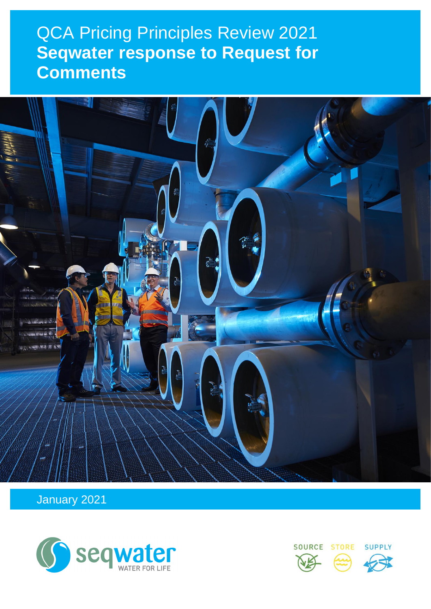## $\bigcap A$  Driging  $D_i$ **QCA Pricing Principles Review 2021 Seqwater response to Request for Comments**



January 2021